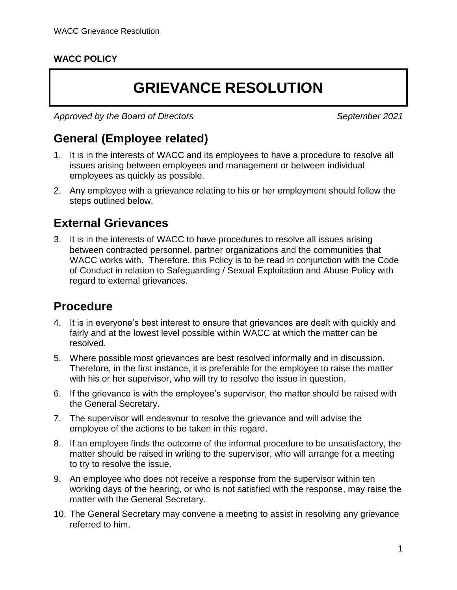#### **WACC POLICY**

# **GRIEVANCE RESOLUTION**

*Approved by the Board of Directors September 2021*

## **General (Employee related)**

- 1. It is in the interests of WACC and its employees to have a procedure to resolve all issues arising between employees and management or between individual employees as quickly as possible.
- 2. Any employee with a grievance relating to his or her employment should follow the steps outlined below.

#### **External Grievances**

3. It is in the interests of WACC to have procedures to resolve all issues arising between contracted personnel, partner organizations and the communities that WACC works with. Therefore, this Policy is to be read in conjunction with the Code of Conduct in relation to Safeguarding / Sexual Exploitation and Abuse Policy with regard to external grievances.

### **Procedure**

- 4. It is in everyone's best interest to ensure that grievances are dealt with quickly and fairly and at the lowest level possible within WACC at which the matter can be resolved.
- 5. Where possible most grievances are best resolved informally and in discussion. Therefore, in the first instance, it is preferable for the employee to raise the matter with his or her supervisor, who will try to resolve the issue in question.
- 6. If the grievance is with the employee's supervisor, the matter should be raised with the General Secretary.
- 7. The supervisor will endeavour to resolve the grievance and will advise the employee of the actions to be taken in this regard.
- 8. If an employee finds the outcome of the informal procedure to be unsatisfactory, the matter should be raised in writing to the supervisor, who will arrange for a meeting to try to resolve the issue.
- 9. An employee who does not receive a response from the supervisor within ten working days of the hearing, or who is not satisfied with the response, may raise the matter with the General Secretary.
- 10. The General Secretary may convene a meeting to assist in resolving any grievance referred to him.